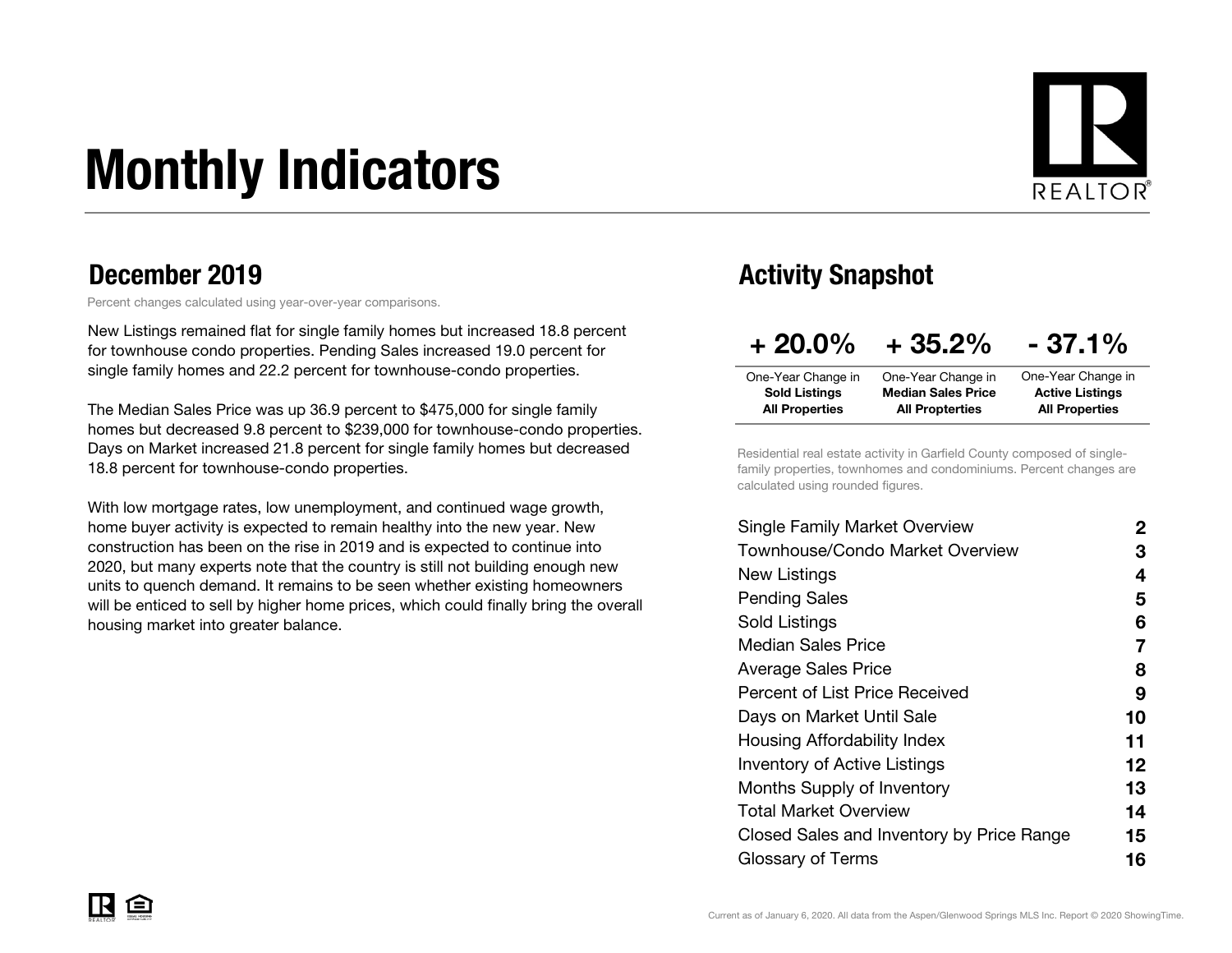# Monthly Indicators



### December 2019

Percent changes calculated using year-over-year comparisons.

New Listings remained flat for single family homes but increased 18.8 percent for townhouse condo properties. Pending Sales increased 19.0 percent for single family homes and 22.2 percent for townhouse-condo properties.

The Median Sales Price was up 36.9 percent to \$475,000 for single family homes but decreased 9.8 percent to \$239,000 for townhouse-condo properties. Days on Market increased 21.8 percent for single family homes but decreased 18.8 percent for townhouse-condo properties.

With low mortgage rates, low unemployment, and continued wage growth, home buyer activity is expected to remain healthy into the new year. New construction has been on the rise in 2019 and is expected to continue into 2020, but many experts note that the country is still not building enough new units to quench demand. It remains to be seen whether existing homeowners will be enticed to sell by higher home prices, which could finally bring the overall housing market into greater balance.

### Activity Snapshot

| $+20.0\%$             | $+35.2%$                  | $-37.1%$               |
|-----------------------|---------------------------|------------------------|
| One-Year Change in    | One-Year Change in        | One-Year Change in     |
| <b>Sold Listings</b>  | <b>Median Sales Price</b> | <b>Active Listings</b> |
| <b>All Properties</b> | <b>All Propterties</b>    | <b>All Properties</b>  |

Residential real estate activity in Garfield County composed of singlefamily properties, townhomes and condominiums. Percent changes are calculated using rounded figures.

| <b>Single Family Market Overview</b>      | 2  |
|-------------------------------------------|----|
| Townhouse/Condo Market Overview           | З  |
| New Listings                              | 4  |
| <b>Pending Sales</b>                      | 5  |
| Sold Listings                             | 6  |
| <b>Median Sales Price</b>                 | 7  |
| <b>Average Sales Price</b>                | 8  |
| Percent of List Price Received            | 9  |
| Days on Market Until Sale                 | 10 |
| Housing Affordability Index               | 11 |
| <b>Inventory of Active Listings</b>       | 12 |
| Months Supply of Inventory                | 13 |
| Total Market Overview                     | 14 |
| Closed Sales and Inventory by Price Range | 15 |
| Glossary of Terms                         | 16 |
|                                           |    |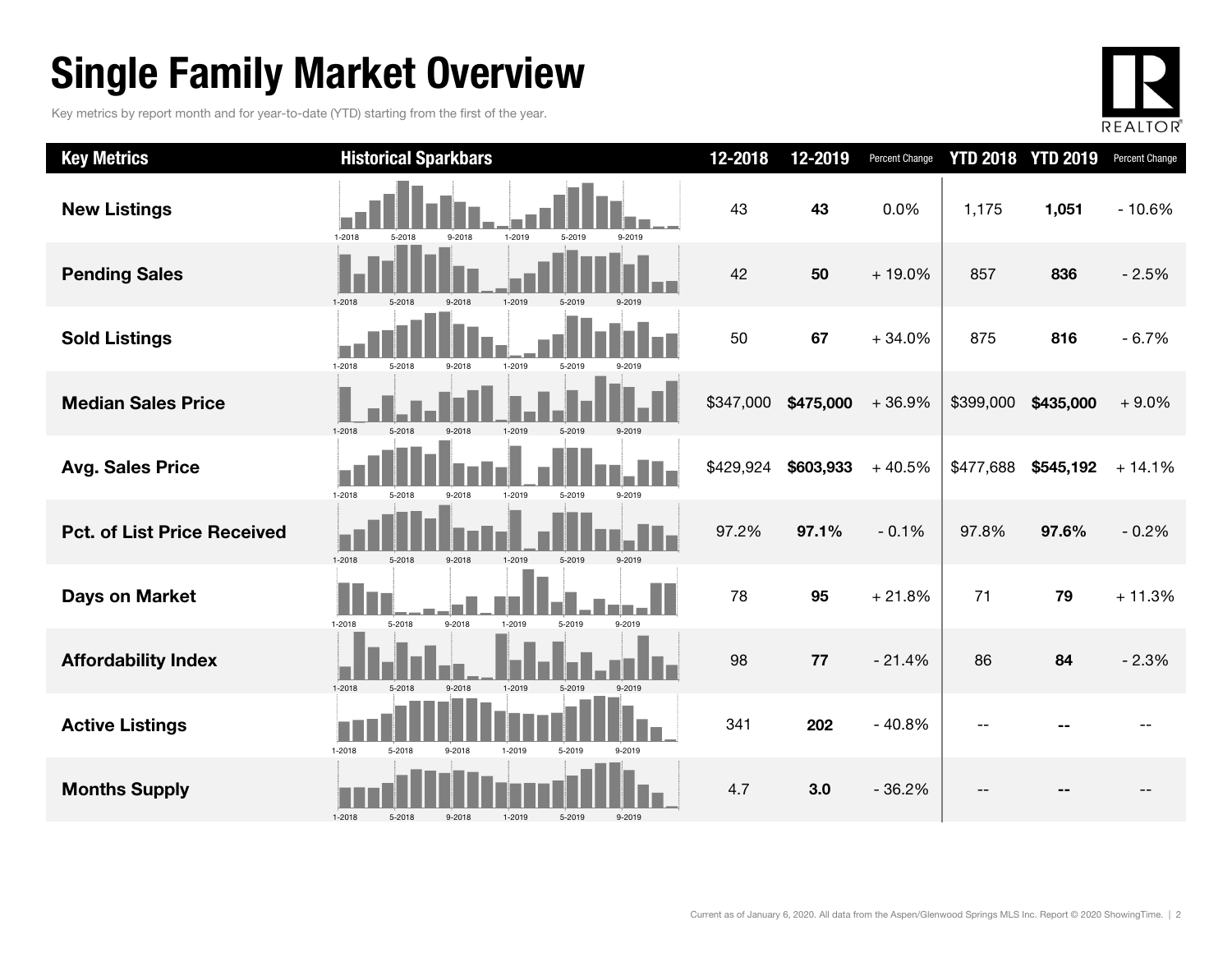### Single Family Market Overview

Key metrics by report month and for year-to-date (YTD) starting from the first of the year.



| <b>Key Metrics</b>                 | <b>Historical Sparkbars</b>                                  | 12-2018   | 12-2019   | Percent Change | <b>YTD 2018</b> | <b>YTD 2019</b> | Percent Change |
|------------------------------------|--------------------------------------------------------------|-----------|-----------|----------------|-----------------|-----------------|----------------|
| <b>New Listings</b>                | 1-2019<br>1-2018<br>5-2018<br>9-2018<br>5-2019<br>9-2019     | 43        | 43        | 0.0%           | 1,175           | 1,051           | $-10.6%$       |
| <b>Pending Sales</b>               | $1 - 2018$<br>$9 - 2018$<br>1-2019<br>5-2018<br>5-2019       | 42        | 50        | $+19.0%$       | 857             | 836             | $-2.5%$        |
| <b>Sold Listings</b>               | $1 - 2018$<br>1-2019<br>5-2018<br>9-2018<br>5-2019           | 50        | 67        | $+34.0%$       | 875             | 816             | $-6.7%$        |
| <b>Median Sales Price</b>          | $1 - 2018$<br>9-2018<br>1-2019<br>5-2018<br>5-2019<br>9-2019 | \$347,000 | \$475,000 | $+36.9%$       | \$399,000       | \$435,000       | $+9.0%$        |
| <b>Avg. Sales Price</b>            | $1 - 2018$<br>5-2018<br>1-2019<br>5-2019<br>9-2018<br>9-2019 | \$429,924 | \$603,933 | $+40.5%$       | \$477,688       | \$545,192       | $+14.1%$       |
| <b>Pct. of List Price Received</b> | $1 - 2018$<br>5-2018<br>1-2019<br>5-2019<br>9-2018<br>9-2019 | 97.2%     | 97.1%     | $-0.1%$        | 97.8%           | 97.6%           | $-0.2%$        |
| <b>Days on Market</b>              | 9-2018<br>1-2018<br>5-2018<br>1-2019<br>5-2019<br>9-2019     | 78        | 95        | $+21.8%$       | 71              | 79              | $+11.3%$       |
| <b>Affordability Index</b>         | $1 - 2018$<br>9-2018<br>1-2019<br>5-2019<br>5-2018<br>9-2019 | 98        | 77        | $-21.4%$       | 86              | 84              | $-2.3%$        |
| <b>Active Listings</b>             | $1 - 2018$<br>5-2018<br>9-2018<br>1-2019<br>5-2019<br>9-2019 | 341       | 202       | $-40.8%$       |                 |                 |                |
| <b>Months Supply</b>               | $1 - 2018$<br>5-2019<br>5-2018<br>9-2018<br>1-2019<br>9-2019 | 4.7       | 3.0       | $-36.2%$       |                 |                 |                |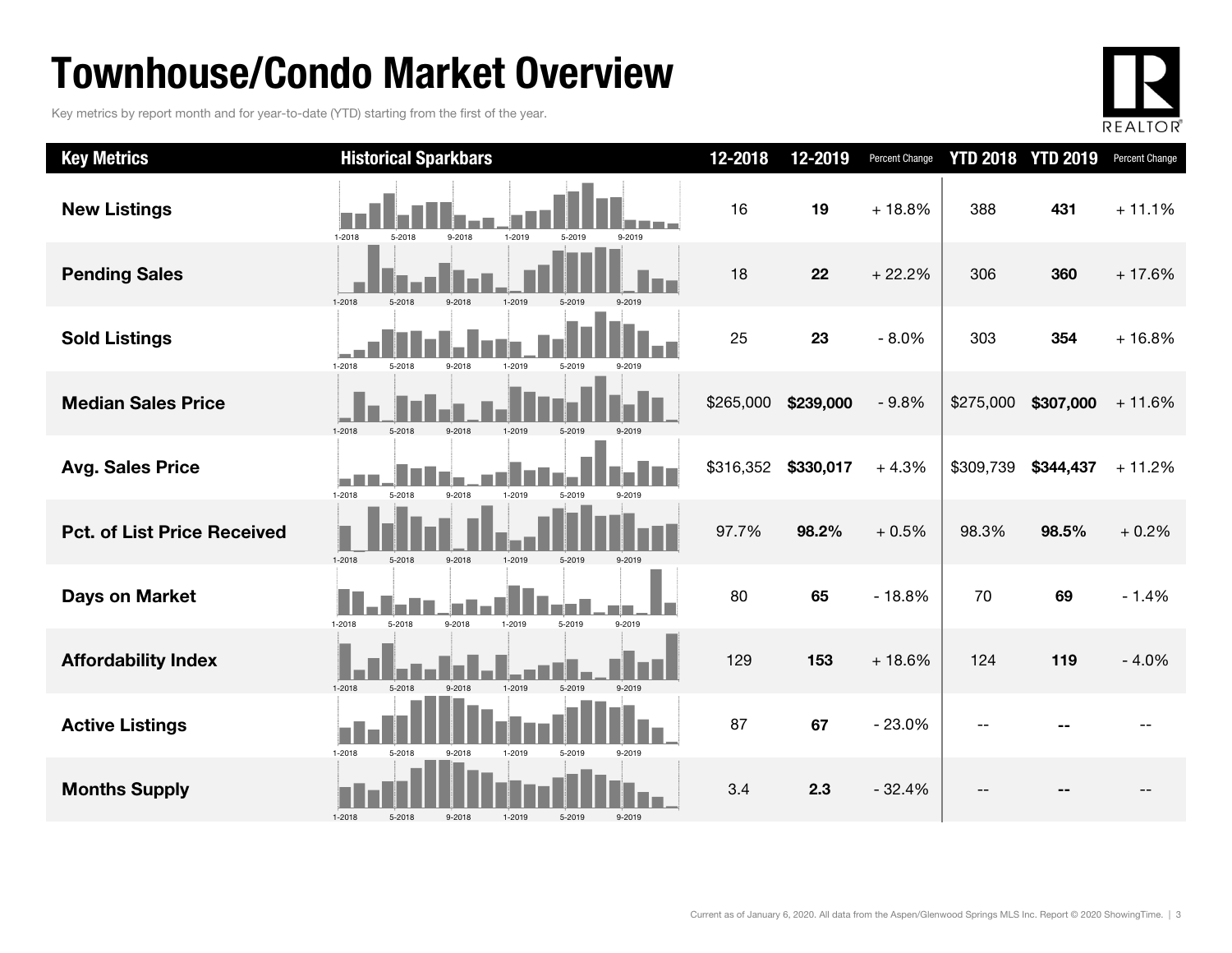### Townhouse/Condo Market Overview

Key metrics by report month and for year-to-date (YTD) starting from the first of the year.



| <b>Key Metrics</b>                 | <b>Historical Sparkbars</b>                                      | 12-2018   | 12-2019   | Percent Change | <b>YTD 2018</b> | <b>YTD 2019</b> | Percent Change |
|------------------------------------|------------------------------------------------------------------|-----------|-----------|----------------|-----------------|-----------------|----------------|
| <b>New Listings</b>                | $1 - 2019$<br>1-2018<br>5-2018<br>9-2018<br>5-2019<br>9-2019     | 16        | 19        | $+18.8%$       | 388             | 431             | $+11.1%$       |
| <b>Pending Sales</b>               | $1 - 2018$<br>5-2018<br>9-2018<br>1-2019<br>5-2019               | 18        | 22        | $+22.2%$       | 306             | 360             | $+17.6%$       |
| <b>Sold Listings</b>               | $1 - 2018$<br>5-2018<br>$9 - 2018$<br>1-2019<br>5-2019<br>9-2019 | 25        | 23        | $-8.0%$        | 303             | 354             | $+16.8%$       |
| <b>Median Sales Price</b>          | $1 - 2018$<br>5-2018<br>9-2018<br>1-2019<br>5-2019               | \$265,000 | \$239,000 | $-9.8%$        | \$275,000       | \$307,000       | $+11.6%$       |
| <b>Avg. Sales Price</b>            | $1 - 2018$<br>1-2019<br>5-2018<br>9-2018<br>5-2019<br>9-2019     | \$316,352 | \$330,017 | $+4.3%$        | \$309,739       | \$344,437       | $+11.2%$       |
| <b>Pct. of List Price Received</b> | $1 - 2018$<br>9-2018<br>5-2019<br>5-2018<br>1-2019<br>9-2019     | 97.7%     | 98.2%     | $+0.5%$        | 98.3%           | 98.5%           | $+0.2%$        |
| <b>Days on Market</b>              | $1 - 2018$<br>9-2018<br>1-2019<br>5-2019<br>5-2018<br>9-2019     | 80        | 65        | $-18.8%$       | 70              | 69              | $-1.4%$        |
| <b>Affordability Index</b>         | 1-2019<br>$1 - 2018$<br>5-2018<br>5-2019<br>9-2018<br>9-2019     | 129       | 153       | $+18.6%$       | 124             | 119             | $-4.0%$        |
| <b>Active Listings</b>             | $1 - 2018$<br>5-2018<br>1-2019<br>5-2019<br>9-2019<br>9-2018     | 87        | 67        | $-23.0%$       |                 |                 |                |
| <b>Months Supply</b>               | $1 - 2018$<br>5-2018<br>5-2019<br>9-2018<br>1-2019<br>9-2019     | 3.4       | 2.3       | $-32.4%$       |                 |                 |                |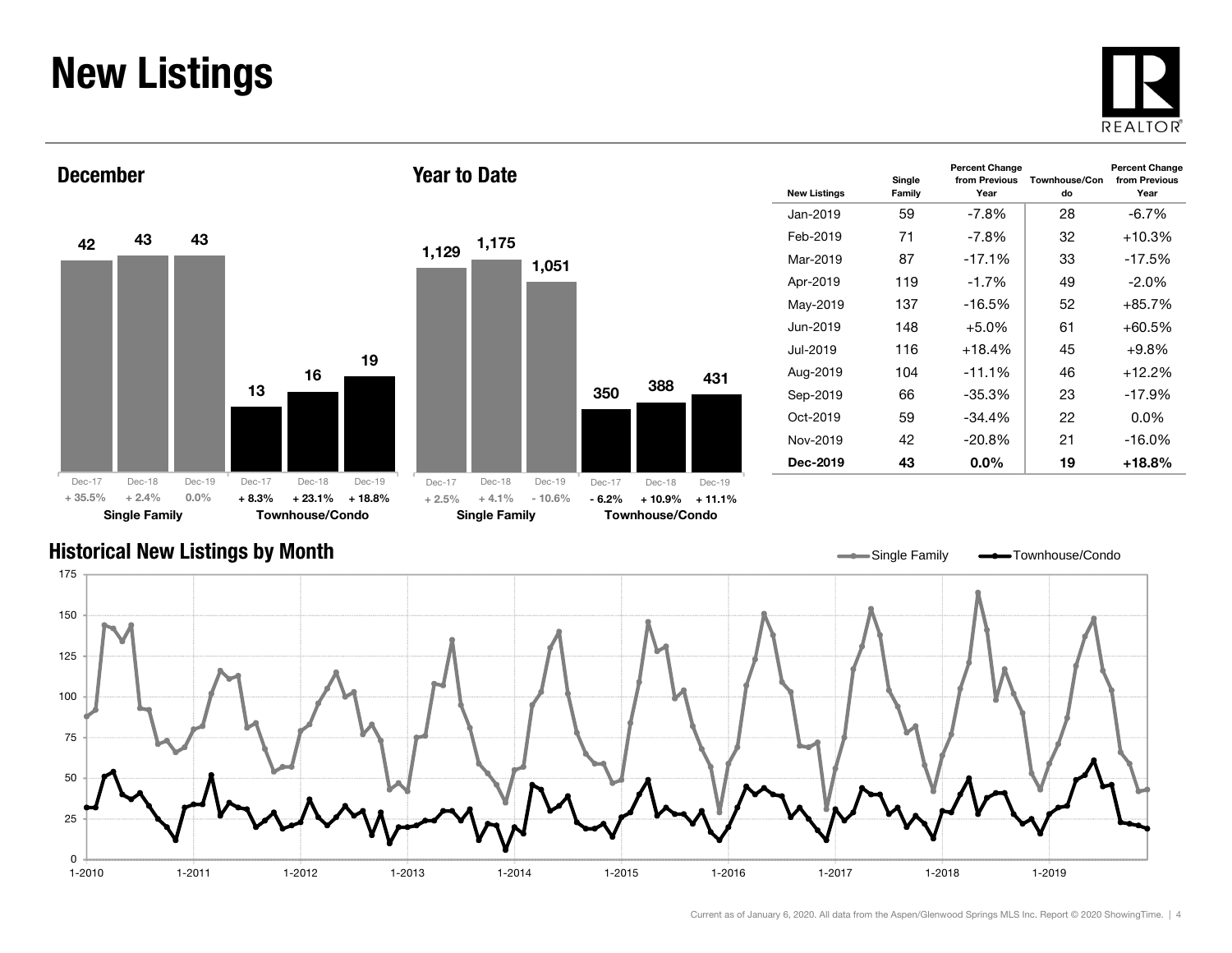### New Listings







Year to Date

| <b>New Listings</b> | Single<br>Family | <b>Percent Change</b><br>from Previous<br>Year | Townhouse/Con<br>do | <b>Percent Change</b><br>from Previous<br>Year |
|---------------------|------------------|------------------------------------------------|---------------------|------------------------------------------------|
| Jan-2019            | 59               | $-7.8\%$                                       | 28                  | $-6.7\%$                                       |
| Feb-2019            | 71               | -7.8%                                          | 32                  | $+10.3%$                                       |
| Mar-2019            | 87               | $-17.1%$                                       | 33                  | $-17.5%$                                       |
| Apr-2019            | 119              | $-1.7\%$                                       | 49                  | $-2.0\%$                                       |
| May-2019            | 137              | $-16.5%$                                       | 52                  | $+85.7%$                                       |
| Jun-2019            | 148              | +5.0%                                          | 61                  | $+60.5%$                                       |
| Jul-2019            | 116              | $+18.4%$                                       | 45                  | $+9.8\%$                                       |
| Aug-2019            | 104              | $-11.1%$                                       | 46                  | $+12.2%$                                       |
| Sep-2019            | 66               | -35.3%                                         | 23                  | $-17.9%$                                       |
| Oct-2019            | 59               | $-34.4\%$                                      | 22                  | $0.0\%$                                        |
| Nov-2019            | 42               | $-20.8\%$                                      | 21                  | -16.0%                                         |
| Dec-2019            | 43               | $0.0\%$                                        | 19                  | $+18.8%$                                       |

#### Historical New Listings by Month

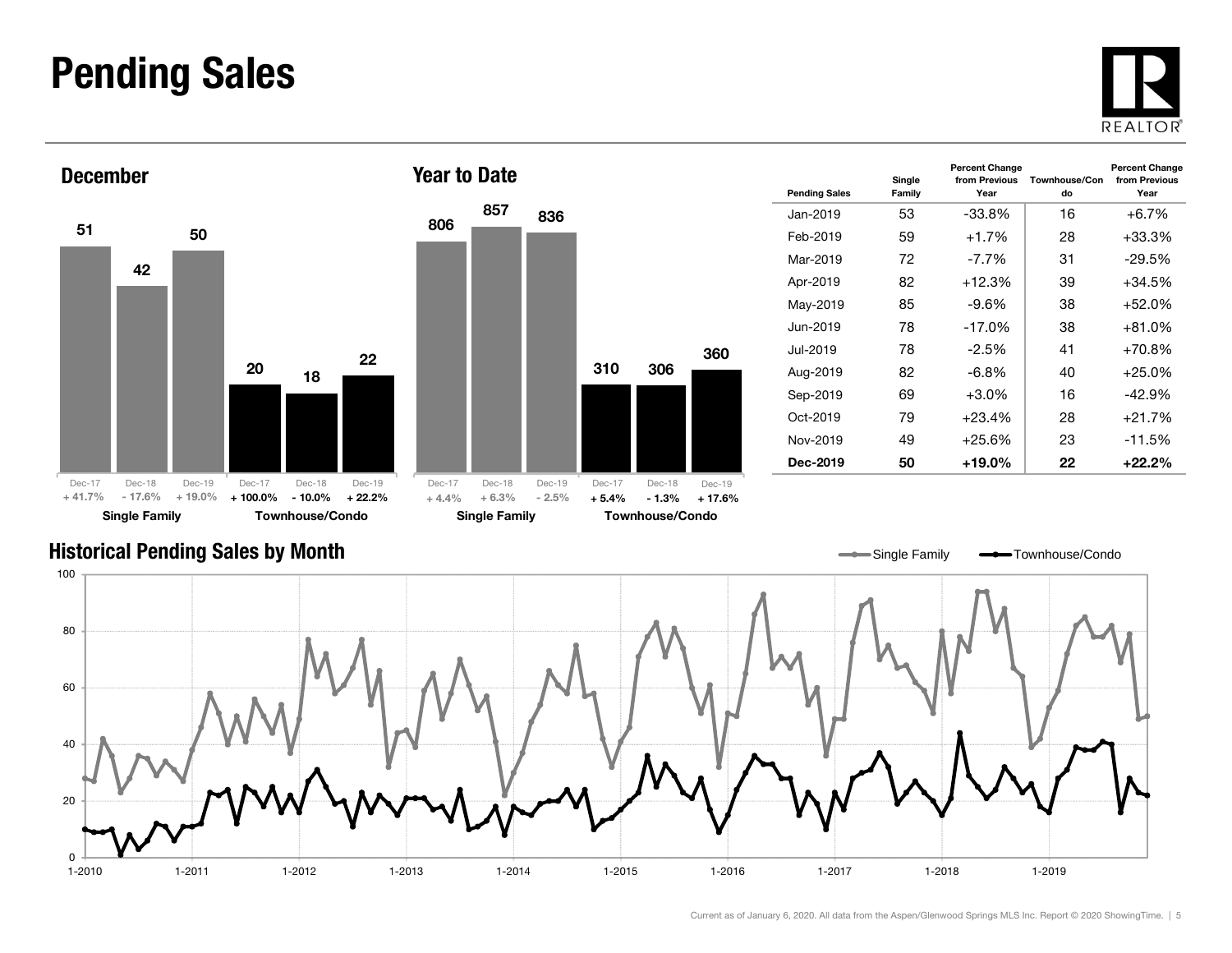### Pending Sales







| <b>Pending Sales</b> | Single<br>Family | <b>Percent Change</b><br>from Previous<br>Year | Townhouse/Con<br>do | <b>Percent Change</b><br>from Previous<br>Year |
|----------------------|------------------|------------------------------------------------|---------------------|------------------------------------------------|
| Jan-2019             | 53               | $-33.8%$                                       | 16                  | $+6.7%$                                        |
| Feb-2019             | 59               | $+1.7%$                                        | 28                  | $+33.3\%$                                      |
| Mar-2019             | 72               | -7.7%                                          | 31                  | $-29.5%$                                       |
| Apr-2019             | 82               | $+12.3%$                                       | 39                  | $+34.5%$                                       |
| May-2019             | 85               | -9.6%                                          | 38                  | $+52.0%$                                       |
| Jun-2019             | 78               | $-17.0\%$                                      | 38                  | $+81.0%$                                       |
| Jul-2019.            | 78               | $-2.5%$                                        | 41                  | $+70.8%$                                       |
| Aug-2019             | 82               | $-6.8\%$                                       | 40                  | $+25.0%$                                       |
| Sep-2019             | 69               | $+3.0\%$                                       | 16                  | $-42.9%$                                       |
| Oct-2019             | 79               | $+23.4%$                                       | 28                  | $+21.7%$                                       |
| Nov-2019             | 49               | $+25.6%$                                       | 23                  | $-11.5%$                                       |
| Dec-2019             | 50               | +19.0%                                         | 22                  | $+22.2%$                                       |

#### Historical Pending Sales by Month

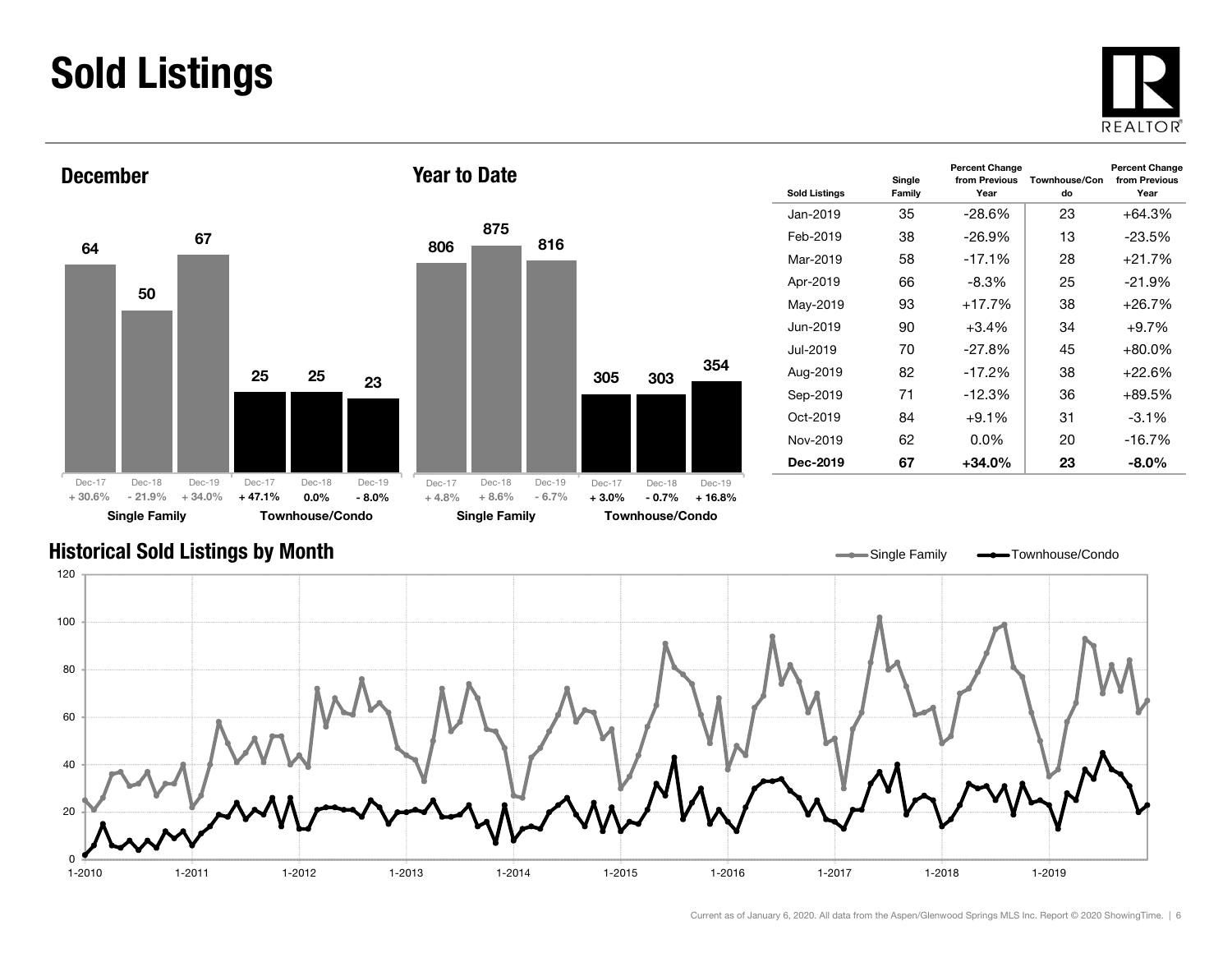### Sold Listings





| <b>Sold Listings</b> | Single<br>Family | <b>Percent Change</b><br>from Previous<br>Year | Townhouse/Con<br>do | <b>Percent Change</b><br>from Previous<br>Year |
|----------------------|------------------|------------------------------------------------|---------------------|------------------------------------------------|
| Jan-2019             | 35               | $-28.6\%$                                      | 23                  | +64.3%                                         |
| Feb-2019             | 38               | $-26.9%$                                       | 13                  | -23.5%                                         |
| Mar-2019             | 58               | $-17.1%$                                       | 28                  | +21.7%                                         |
| Apr-2019             | 66               | -8.3%                                          | 25                  | $-21.9%$                                       |
| May-2019             | 93               | $+17.7%$                                       | 38                  | +26.7%                                         |
| Jun-2019             | 90               | $+3.4%$                                        | 34                  | $+9.7\%$                                       |
| Jul-2019.            | 70               | $-27.8%$                                       | 45                  | +80.0%                                         |
| Aug-2019             | 82               | $-17.2%$                                       | 38                  | $+22.6%$                                       |
| Sep-2019             | 71               | $-12.3%$                                       | 36                  | $+89.5%$                                       |
| $Oct-2019$           | 84               | $+9.1%$                                        | 31                  | $-3.1\%$                                       |
| Nov-2019             | 62               | $0.0\%$                                        | 20                  | $-16.7%$                                       |
| Dec-2019             | 67               | +34.0%                                         | 23                  | -8.0%                                          |

#### Historical Sold Listings by Month

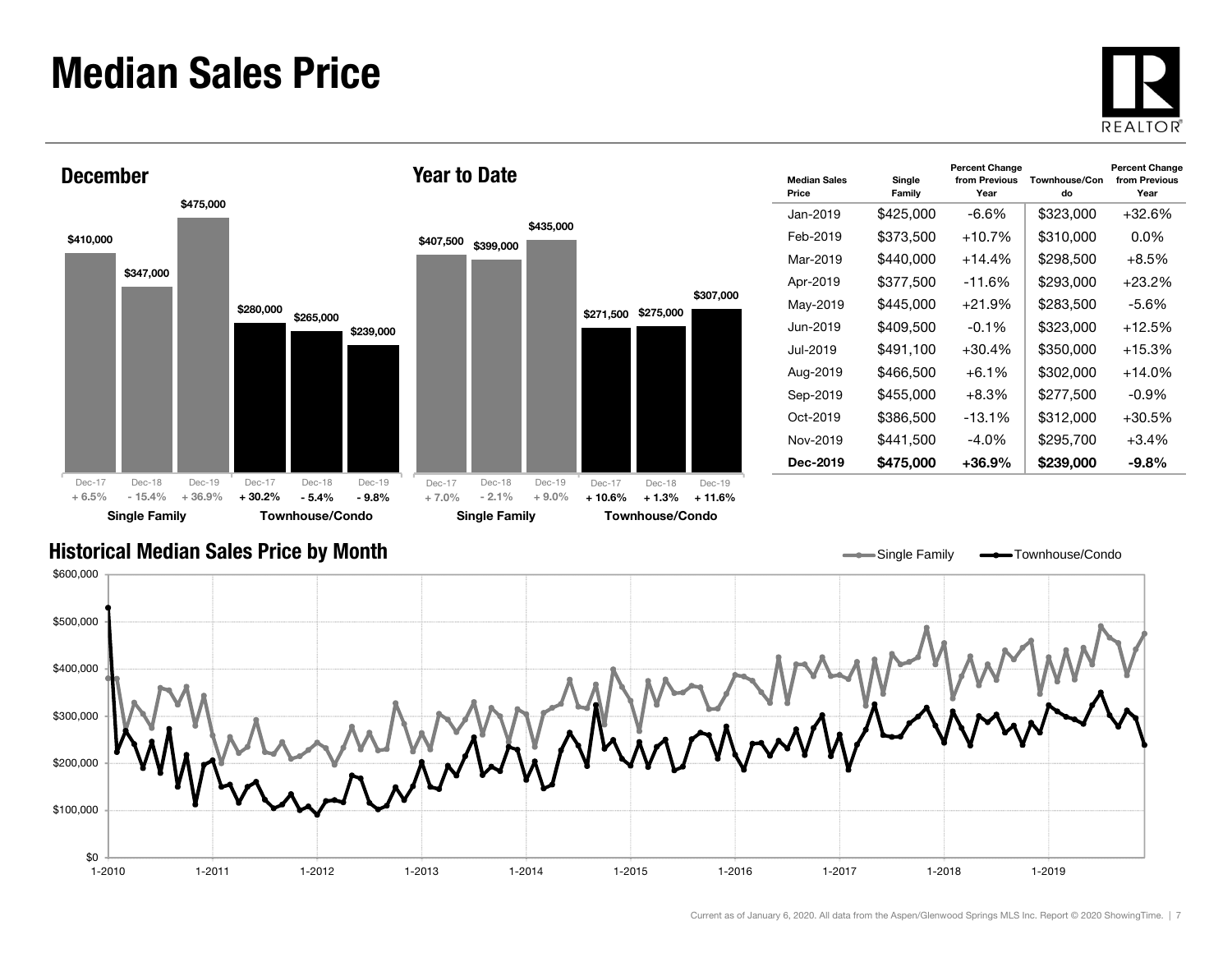### Median Sales Price





| <b>Median Sales</b><br>Price | Single<br>Family | <b>Percent Change</b><br>from Previous<br>Year | Townhouse/Con<br>do | <b>Percent Change</b><br>from Previous<br>Year |
|------------------------------|------------------|------------------------------------------------|---------------------|------------------------------------------------|
| Jan-2019                     | \$425.000        | -6.6%                                          | \$323,000           | +32.6%                                         |
| Feb-2019                     | \$373,500        | $+10.7%$                                       | \$310,000           | $0.0\%$                                        |
| Mar-2019                     | \$440,000        | $+14.4%$                                       | \$298,500           | $+8.5%$                                        |
| Apr-2019                     | \$377,500        | -11.6%                                         | \$293.000           | $+23.2\%$                                      |
| May-2019                     | \$445,000        | $+21.9%$                                       | \$283,500           | $-5.6%$                                        |
| Jun-2019.                    | \$409,500        | $-0.1\%$                                       | \$323,000           | $+12.5%$                                       |
| Jul-2019.                    | \$491.100        | $+30.4%$                                       | \$350,000           | $+15.3%$                                       |
| Aug-2019                     | \$466.500        | $+6.1\%$                                       | \$302,000           | $+14.0\%$                                      |
| Sep-2019                     | \$455,000        | $+8.3%$                                        | \$277,500           | -0.9%                                          |
| $Oct-2019$                   | \$386,500        | $-13.1\%$                                      | \$312,000           | $+30.5\%$                                      |
| Nov-2019                     | \$441,500        | -4.0%                                          | \$295,700           | $+3.4%$                                        |
| Dec-2019                     | \$475,000        | $+36.9%$                                       | \$239,000           | $-9.8\%$                                       |

Single Family **-**Townhouse/Condo

#### Historical Median Sales Price by Month

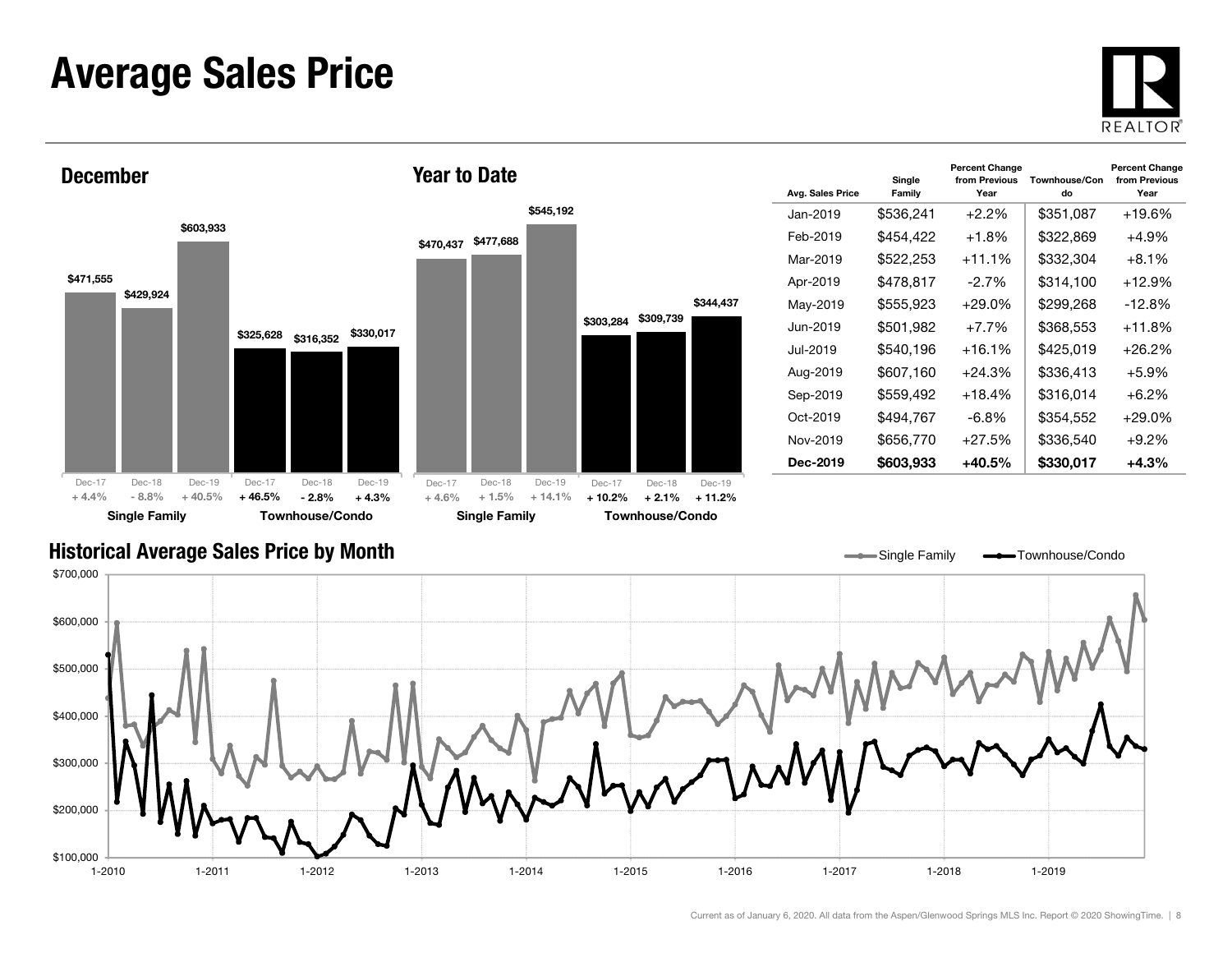### Average Sales Price





| Avg. Sales Price | Single<br>Family | <b>Percent Change</b><br>from Previous<br>Year | Townhouse/Con<br>do | <b>Percent Change</b><br>from Previous<br>Year |
|------------------|------------------|------------------------------------------------|---------------------|------------------------------------------------|
| Jan-2019         | \$536,241        | $+2.2\%$                                       | \$351,087           | +19.6%                                         |
| Feb-2019         | \$454,422        | $+1.8%$                                        | \$322,869           | $+4.9%$                                        |
| Mar-2019         | \$522,253        | $+11.1%$                                       | \$332,304           | $+8.1\%$                                       |
| Apr-2019         | \$478,817        | $-2.7\%$                                       | \$314.100           | +12.9%                                         |
| May-2019         | \$555,923        | $+29.0\%$                                      | \$299,268           | $-12.8%$                                       |
| Jun-2019.        | \$501,982        | $+7.7\%$                                       | \$368,553           | +11.8%                                         |
| Jul-2019.        | \$540,196        | $+16.1%$                                       | \$425,019           | $+26.2%$                                       |
| Aug-2019         | \$607,160        | $+24.3%$                                       | \$336,413           | $+5.9\%$                                       |
| Sep-2019         | \$559,492        | $+18.4%$                                       | \$316,014           | $+6.2\%$                                       |
| Oct-2019         | \$494,767        | $-6.8\%$                                       | \$354,552           | $+29.0\%$                                      |
| Nov-2019         | \$656,770        | $+27.5%$                                       | \$336,540           | $+9.2%$                                        |
| Dec-2019         | \$603,933        | +40.5%                                         | \$330,017           | $+4.3%$                                        |

#### Historical Average Sales Price by Month

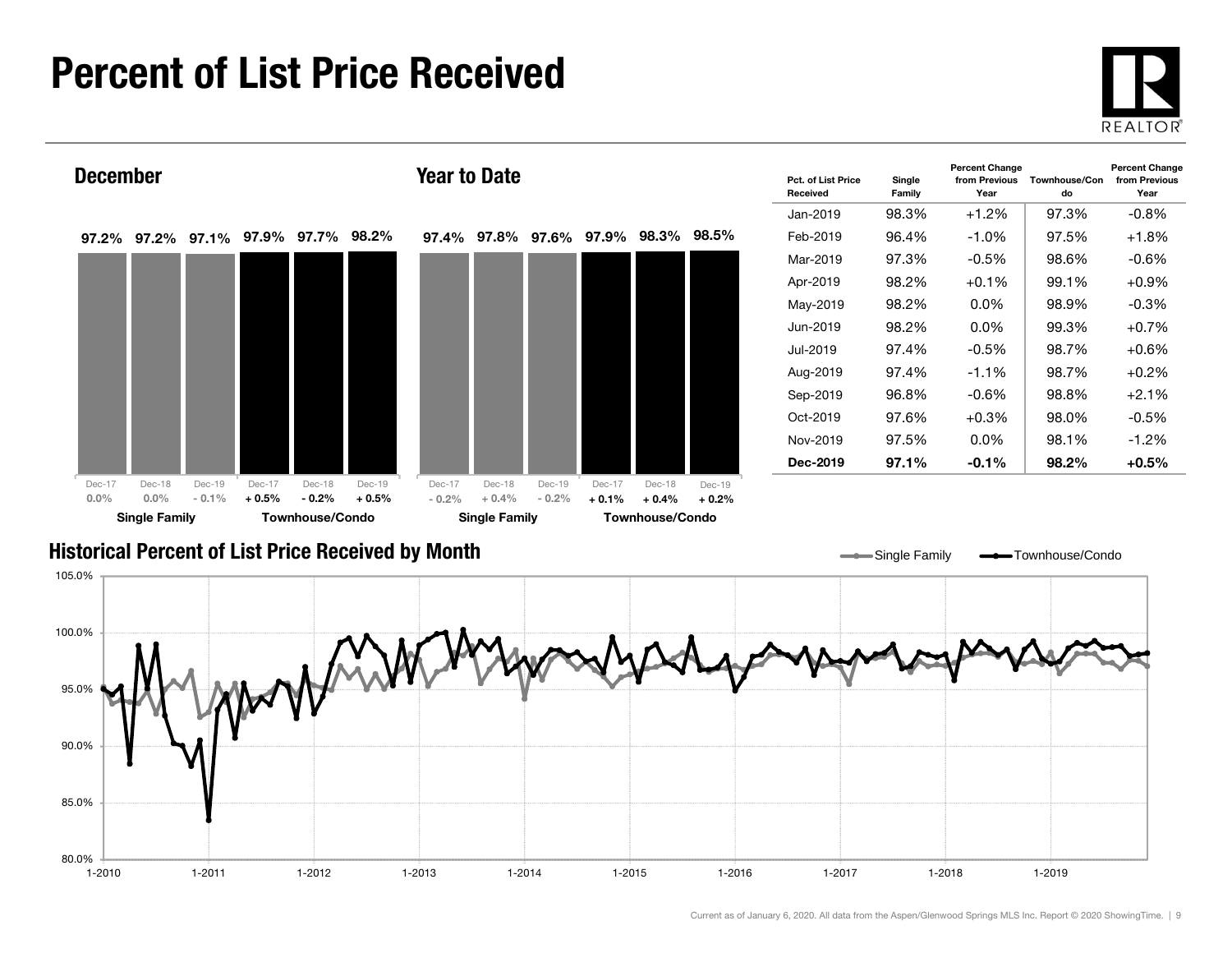### Percent of List Price Received





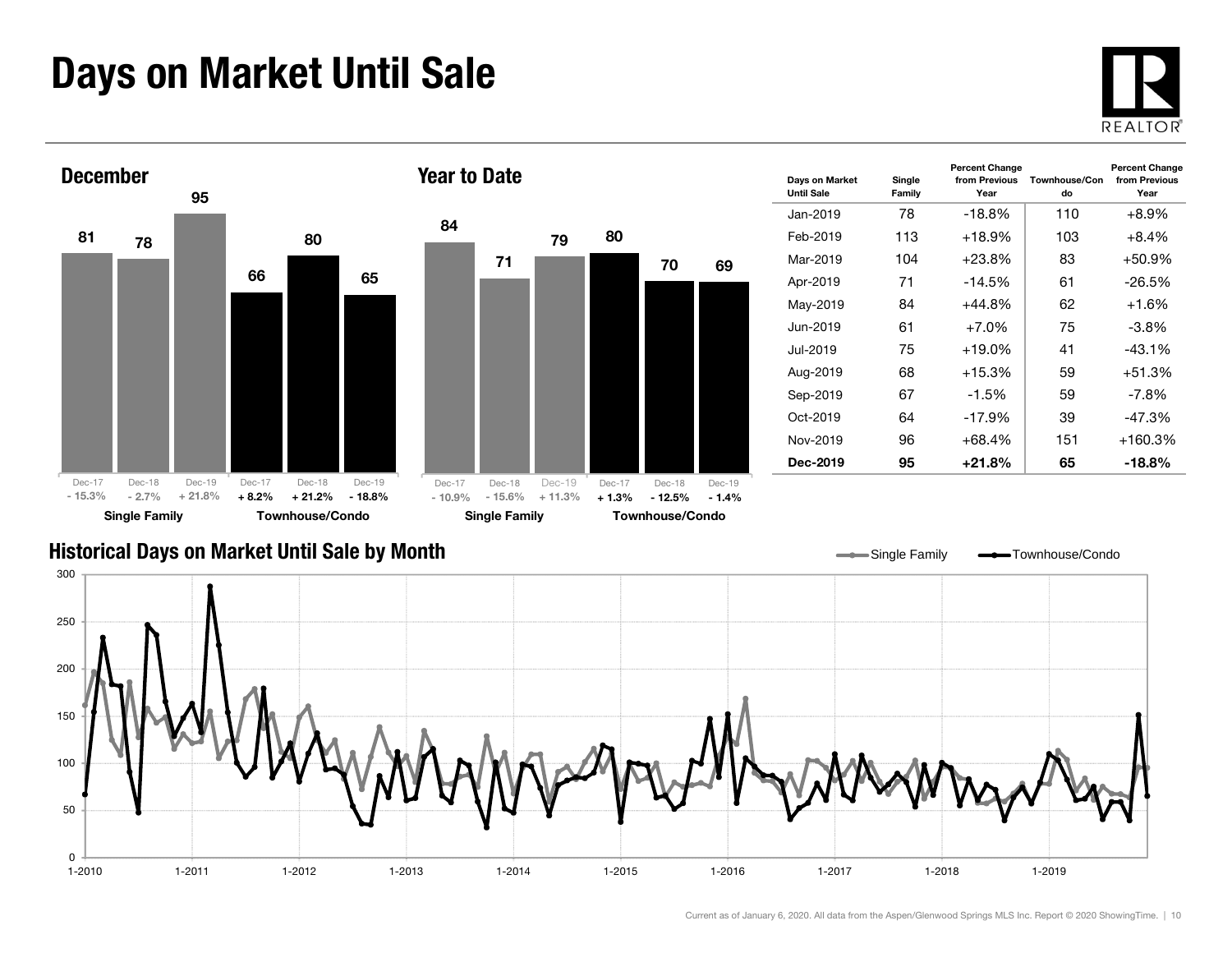### Days on Market Until Sale





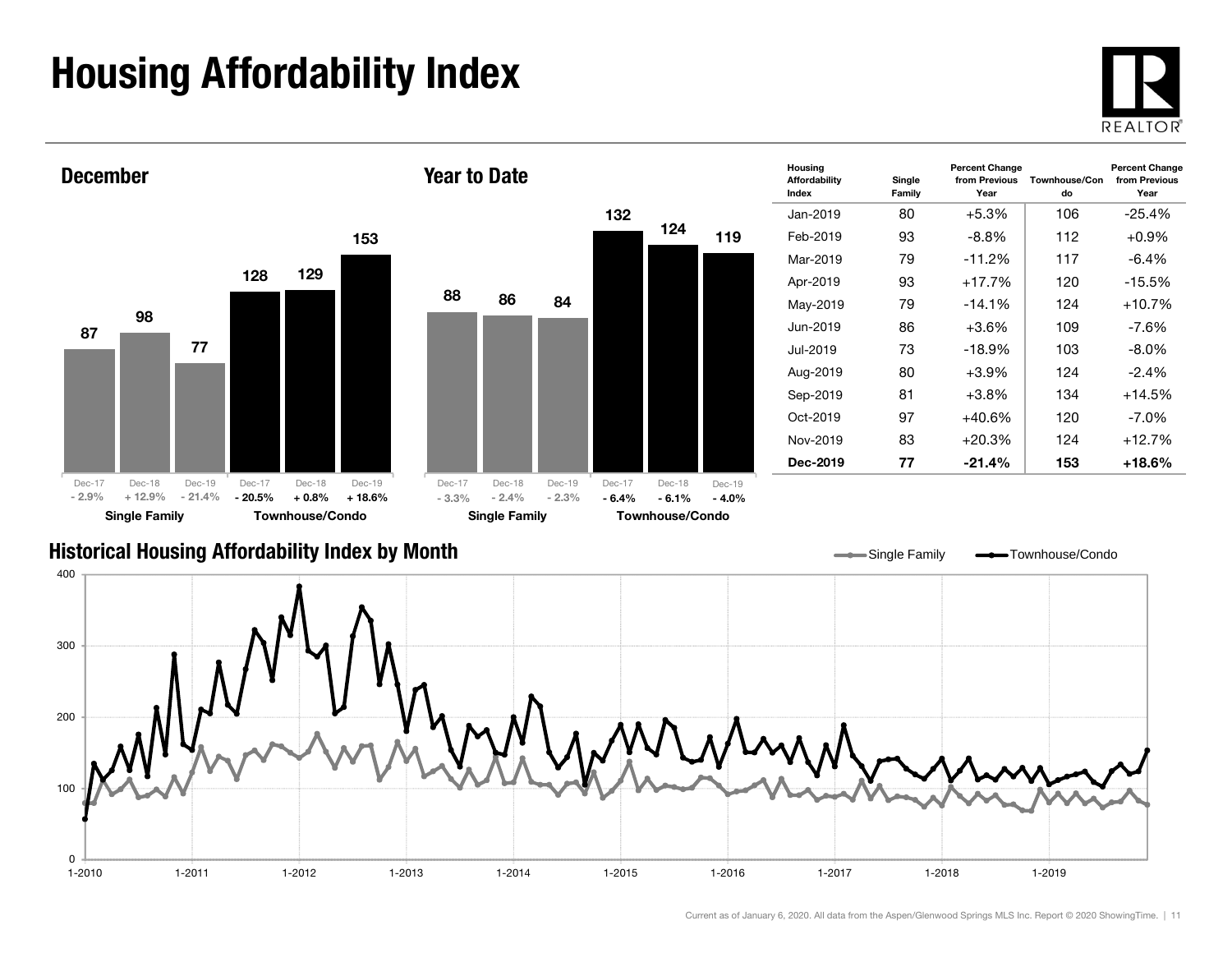## Housing Affordability Index



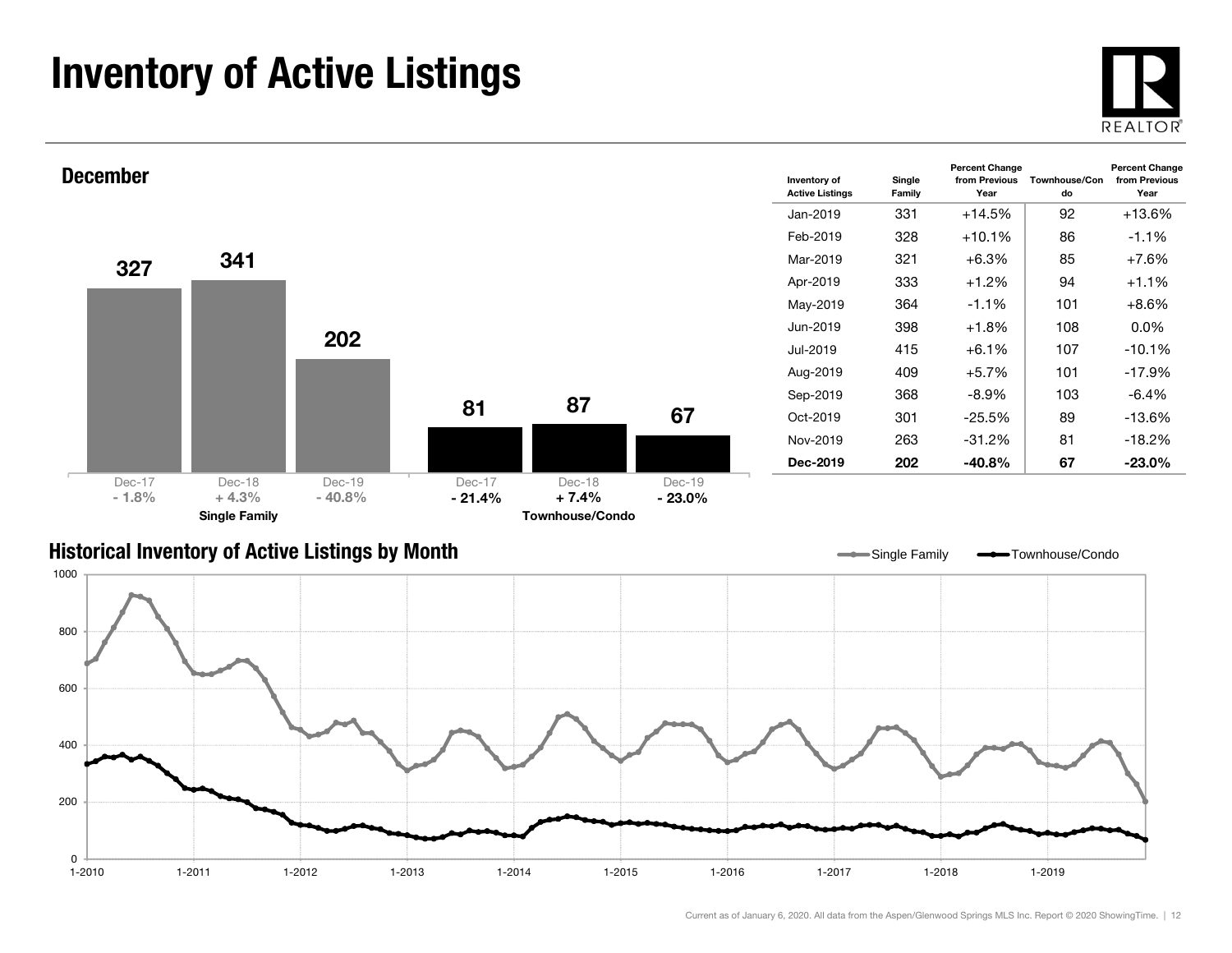### Inventory of Active Listings





#### Historical Inventory of Active Listings by Month

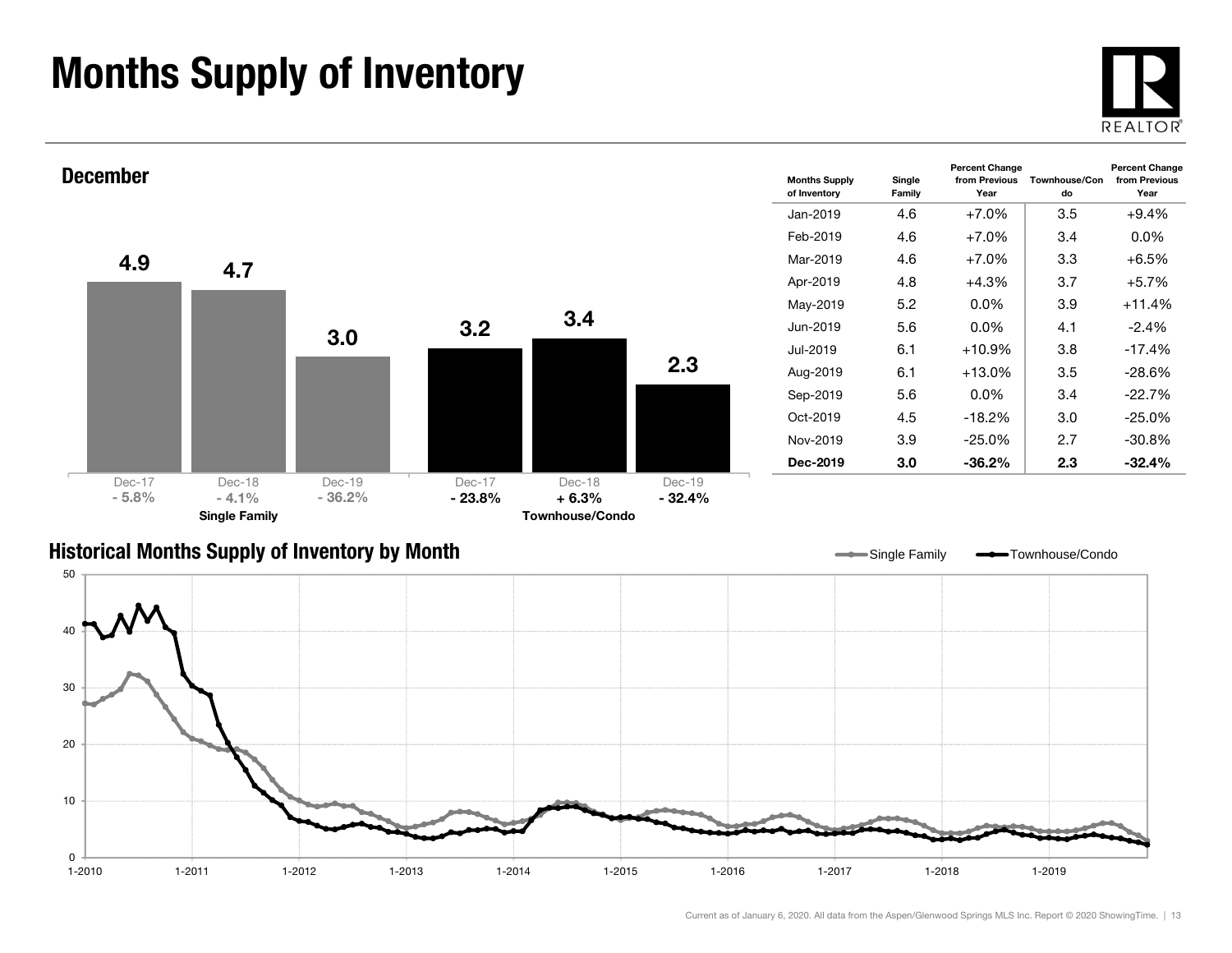### Months Supply of Inventory







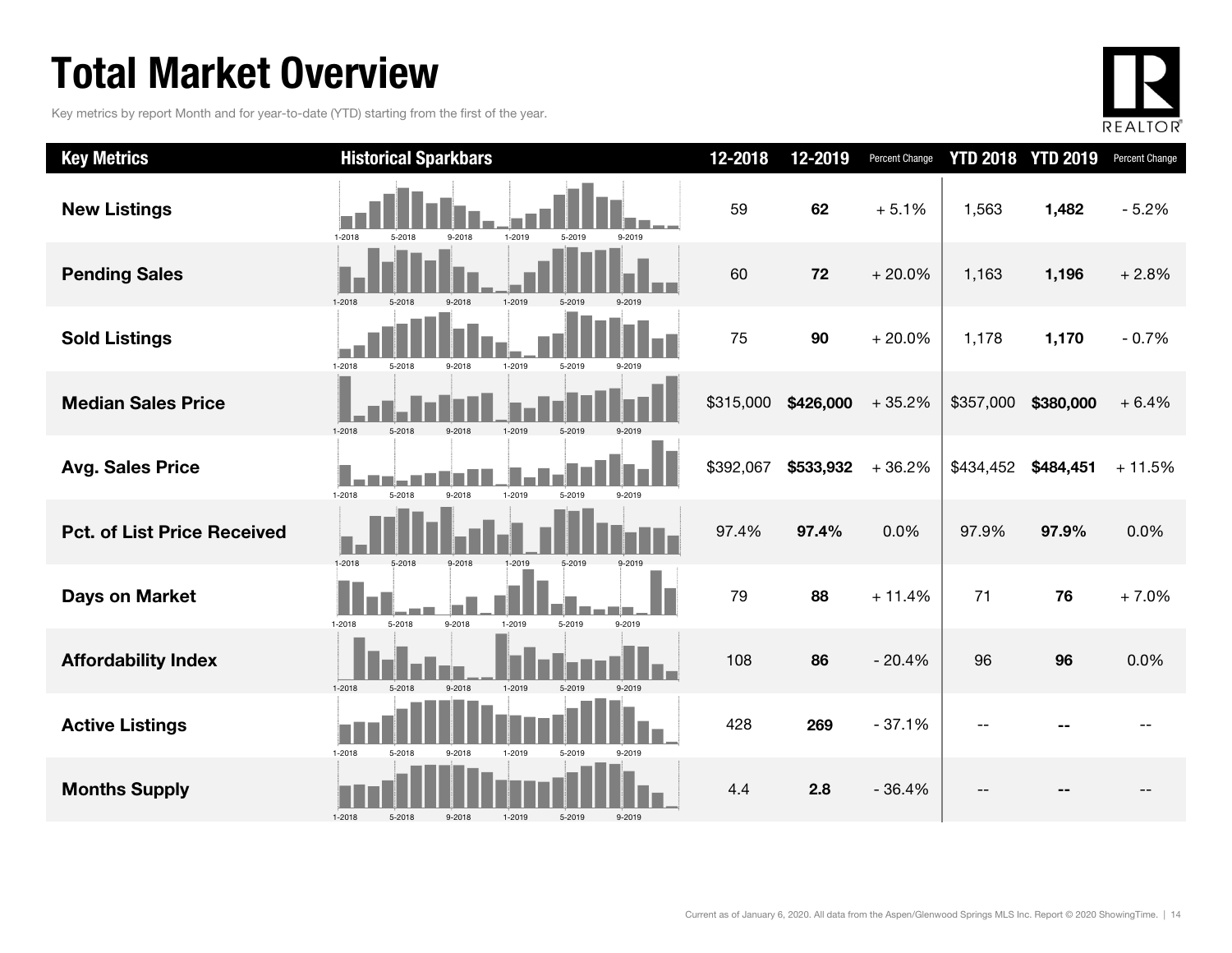### Total Market Overview

Key metrics by report Month and for year-to-date (YTD) starting from the first of the year.



| <b>Key Metrics</b>                 | <b>Historical Sparkbars</b>                                      | 12-2018   | 12-2019   | Percent Change |           | <b>YTD 2018 YTD 2019</b> | Percent Change |
|------------------------------------|------------------------------------------------------------------|-----------|-----------|----------------|-----------|--------------------------|----------------|
| <b>New Listings</b>                | $1 - 2018$<br>1-2019<br>5-2018<br>9-2018<br>5-2019<br>9-2019     | 59        | 62        | $+5.1%$        | 1,563     | 1,482                    | $-5.2%$        |
| <b>Pending Sales</b>               | $1 - 2018$<br>1-2019<br>5-2019<br>5-2018<br>9-2018               | 60        | 72        | $+20.0%$       | 1,163     | 1,196                    | $+2.8%$        |
| <b>Sold Listings</b>               | $1 - 2018$<br>1-2019<br>5-2019<br>5-2018<br>9-2018<br>9-2019     | 75        | 90        | $+20.0%$       | 1,178     | 1,170                    | $-0.7%$        |
| <b>Median Sales Price</b>          | $1 - 2018$<br>9-2018<br>1-2019<br>5-2019<br>5-2018<br>9-2019     | \$315,000 | \$426,000 | $+35.2%$       | \$357,000 | \$380,000                | $+6.4%$        |
| <b>Avg. Sales Price</b>            | 1-2018<br>5-2018<br>9-2018<br>1-2019<br>5-2019<br>9-2019         | \$392,067 | \$533,932 | $+36.2%$       | \$434,452 | \$484,451                | $+11.5%$       |
| <b>Pct. of List Price Received</b> | $1-2018$<br>5-2018<br>9-2018<br>1-2019<br>5-2019                 | 97.4%     | 97.4%     | 0.0%           | 97.9%     | 97.9%                    | 0.0%           |
| <b>Days on Market</b>              | 9-2018<br>$1 - 2018$<br>5-2018<br>1-2019<br>5-2019<br>9-2019     | 79        | 88        | $+11.4%$       | 71        | 76                       | $+7.0%$        |
| <b>Affordability Index</b>         | 1-2019<br>$1 - 2018$<br>$9 - 2018$<br>5-2019<br>9-2019<br>5-2018 | 108       | 86        | $-20.4%$       | 96        | 96                       | 0.0%           |
| <b>Active Listings</b>             | 1-2018<br>5-2018<br>9-2018<br>1-2019<br>5-2019<br>9-2019         | 428       | 269       | $-37.1%$       |           |                          |                |
| <b>Months Supply</b>               | $1 - 2018$<br>5-2018<br>9-2018<br>1-2019<br>5-2019<br>9-2019     | 4.4       | 2.8       | $-36.4%$       |           |                          |                |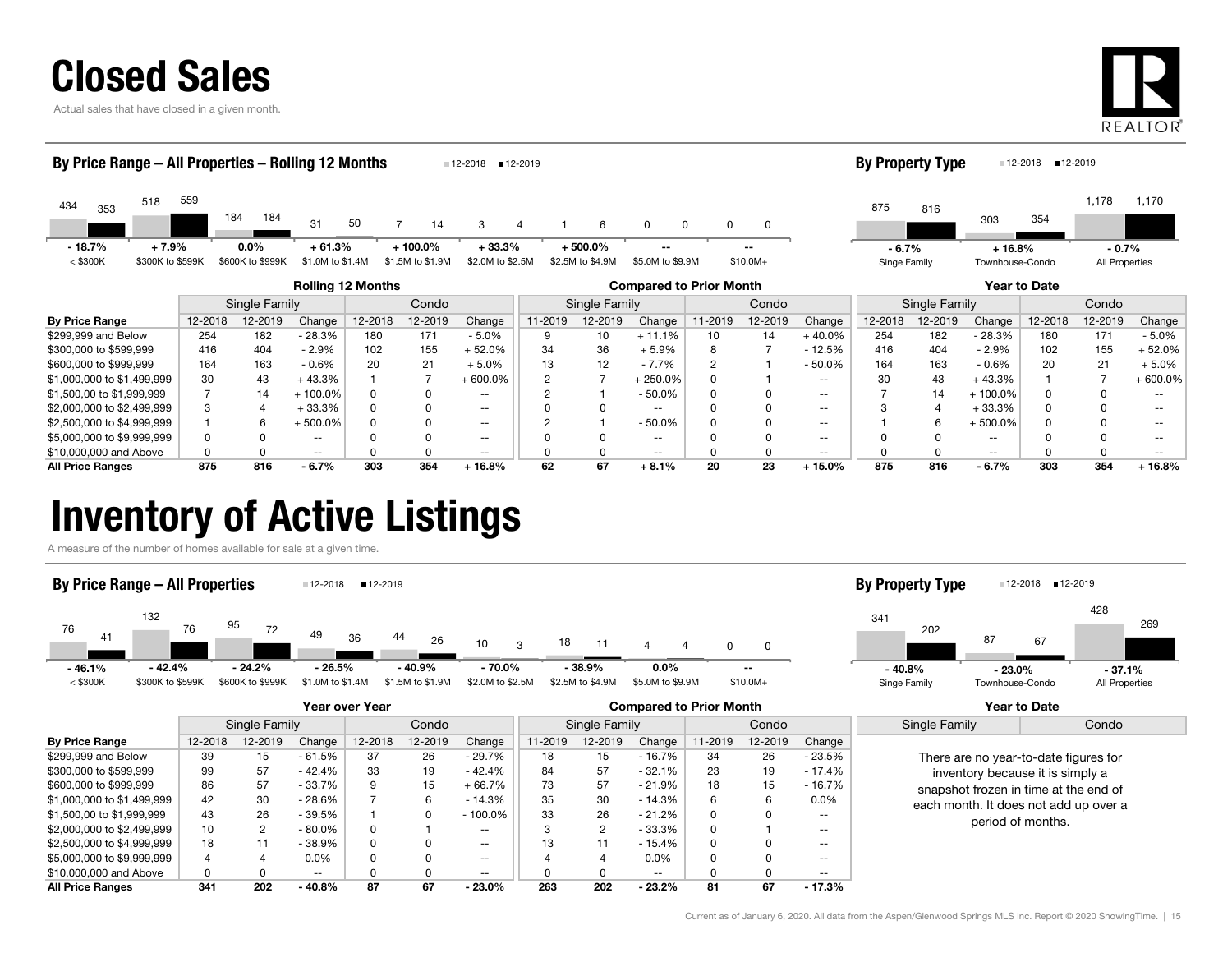

Actual sales that have closed in a given month.



#### By Price Range 12-2018 12-2019 Change 12-2018 12-2019 Change 11-2019 12-2019 Change 11-2019 12-2019 Change 12-2018 12-2019 Change 12-2018 12-2019 Change Rolling 12 Months Compared to Prior Month Year to Date Single Family Condo || Single Family | Condo || Single Family | Condo 434353 518 184 31 5050 7 7 14 3 4 1 6 0 0 0 <sup>353</sup> 559184 14 44 1 6 0 0 0 0  $<$  \$300K  $=$  \$300K to \$599K \$600K to \$999K \$1.0M to \$1.4M \$1.5M to \$1.9M \$2.0M to \$2.5M \$2.5M to \$4.9M \$5.0M to \$9.9M \$10.0M+ By Price Range – All Properties – Rolling 12 Months 12-2018 12-2019 8753031,178 <sup>816</sup>3541,170 Singe Family Townhouse-Condo All Properties **By Property Type** 12-2018 12-2019 - 18.7% + 7.9% 0.0% + 61.3% $\%$  + 100.0% + 33.3% + 500.0% -- -- -- -- -- -- -- -- -6.7%  $-6.7\%$   $+16.8\%$   $-0.7\%$

| .                          |     |     |          |     |     |          |    |    |           |    |    |          |     |     |            |     |     |            |
|----------------------------|-----|-----|----------|-----|-----|----------|----|----|-----------|----|----|----------|-----|-----|------------|-----|-----|------------|
| \$299.999 and Below        | 254 | 182 | $-28.3%$ | 180 | 171 | $-5.0%$  |    | 10 | $+11.1%$  | 10 | 14 | 40.0%    | 254 | 182 | $-28.3%$   | 180 |     | - 5.0%     |
| \$300,000 to \$599.999     | 416 | 404 | $-2.9\%$ | 102 | 155 | $-52.0%$ | 34 | 36 | $-5.9\%$  |    |    | $-12.5%$ | 416 | 404 | $-2.9%$    | 102 | 155 | ⊦ 52.0%    |
| \$600,000 to \$999,999     | 164 | 163 | - 0.6%   | 20  |     | + 5.0%   |    | 12 | $-7.7%$   |    |    | $-50.0%$ |     | 163 | $-0.6%$    | 20  |     | + 5.0%     |
| \$1,000,000 to \$1,499,999 | 30  | 43  | 43.3%    |     |     | + 600.0% |    |    | 250.0%    |    |    | --       |     | 43  | $+43.3%$   |     |     | $+600.0\%$ |
| \$1,500,00 to \$1,999,999  |     | 14  | 100.0%   |     |     | $- -$    |    |    | - 50.0%   |    |    | --       |     |     | $-100.0\%$ |     |     |            |
| \$2,000,000 to \$2,499,999 |     |     | 33.3%    |     |     | $- -$    |    |    | --        |    |    |          |     |     | + 33.3%    |     |     | $- -$      |
| \$2,500,000 to \$4,999,999 |     | h.  | 500.0%   |     |     | $- -$    |    |    | $-50.0\%$ |    |    | $- -$    |     |     | $-500.0\%$ |     |     | --         |
| \$5,000,000 to \$9,999,999 |     |     | --       |     |     |          |    |    | --        |    |    |          |     |     |            |     |     |            |
| \$10,000,000 and Above     |     |     | $- -$    |     |     | $- -$    |    |    | --        |    |    |          |     |     | $- -$      |     |     |            |
| <b>All Price Ranges</b>    | 875 | 816 | $-6.7%$  | 303 | 354 | 16.8%    | 62 | 67 | $+8.1%$   | 20 | 23 | 15.0%    | 875 | 816 | - 6.7%     | 303 | 354 | $-16.8%$   |

### Inventory of Active Listings

A measure of the number of homes available for sale at a given time.

#### 76 132 9549 4426 10  $3 \t 18 \t 11 \t 4$  0 <sup>41</sup> <sup>76</sup> <sup>72</sup> <sup>36</sup> <sup>26</sup> <sup>3</sup> <sup>11</sup> <sup>4</sup> <sup>0</sup> < \$300K \$300K to \$599K \$600K to \$999K \$1.0M to \$1.4M \$1.5M to \$1.9M \$2.0M to \$2.5M \$2.5M to \$4.9M \$5.0M to \$9.9M \$10.0M+ By Price Range – All Properties 12-2018 12-2019 3418742820267269Singe Family Townhouse-Condo All Properties **By Property Type** 12-2018 12-2019 - 46.1% - 42.4% - 24.2% - 26.5% 0.0% - 40.9% - 70.0% - 38.9% -- - 40.8%- 23.0% - 37.1%

|                            |         |                |           | Year over Year |         |                          | <b>Compared to Prior Month</b> |                |          |         |         |                          |                   | Year to Date                          |               |       |
|----------------------------|---------|----------------|-----------|----------------|---------|--------------------------|--------------------------------|----------------|----------|---------|---------|--------------------------|-------------------|---------------------------------------|---------------|-------|
|                            |         | Single Family  |           | Condo          |         |                          |                                | Single Family  |          |         | Condo   |                          |                   |                                       | Single Family | Condo |
| <b>By Price Range</b>      | 12-2018 | 12-2019        | Change    | 12-2018        | 12-2019 | Change                   | 11-2019                        | 12-2019        | Change   | 11-2019 | 12-2019 | Change                   |                   |                                       |               |       |
| \$299.999 and Below        | 39      | 15             | $-61.5%$  | 37             | 26      | $-29.7%$                 | 18                             | 15             | $-16.7%$ | 34      | 26      | - 23.5%                  |                   | There are no year-to-date figures for |               |       |
| \$300,000 to \$599,999     | 99      | 57             | $-42.4%$  | 33             | 19      | - 42.4%                  | 84                             | 57             | $-32.1%$ | 23      | 19      | - 17.4%                  |                   | inventory because it is simply a      |               |       |
| \$600,000 to \$999.999     | 86      | 57             | $-33.7%$  | 9              | 15      | $+66.7%$                 | 73                             | 57             | $-21.9%$ | 18      | 15      | - 16.7%                  |                   | snapshot frozen in time at the end of |               |       |
| \$1,000,000 to \$1,499,999 | 42      | 30             | $-28.6%$  |                | 6       | $-14.3%$                 | 35                             | 30             | $-14.3%$ | 6       |         | $0.0\%$                  |                   | each month. It does not add up over a |               |       |
| \$1,500,00 to \$1,999,999  | 43      | 26             | $-39.5%$  |                |         | $-100.0\%$               | 33                             | 26             | $-21.2%$ |         |         | $\overline{\phantom{a}}$ | period of months. |                                       |               |       |
| \$2,000,000 to \$2,499,999 | 10      | $\overline{2}$ | $-80.0\%$ | 0              |         | $-$                      |                                | $\overline{2}$ | $-33.3%$ |         |         | $- -$                    |                   |                                       |               |       |
| \$2,500,000 to \$4,999,999 | 18      | 11             | $-38.9%$  | 0              |         | $\sim$ $\sim$            | 13                             |                | $-15.4%$ |         |         | $\overline{\phantom{a}}$ |                   |                                       |               |       |
| \$5,000,000 to \$9,999,999 | 4       |                | $0.0\%$   | 0              |         | $\overline{\phantom{a}}$ |                                |                | $0.0\%$  |         |         | $\overline{\phantom{a}}$ |                   |                                       |               |       |
| \$10,000,000 and Above     | 0       |                | $- -$     |                |         | $- -$                    |                                |                | $- -$    |         |         | $- -$                    |                   |                                       |               |       |
| <b>All Price Ranges</b>    | 341     | 202            | $-40.8%$  | 87             | 67      | $-23.0\%$                | 263                            | 202            | $-23.2%$ | 81      | 67      | $-17.3%$                 |                   |                                       |               |       |